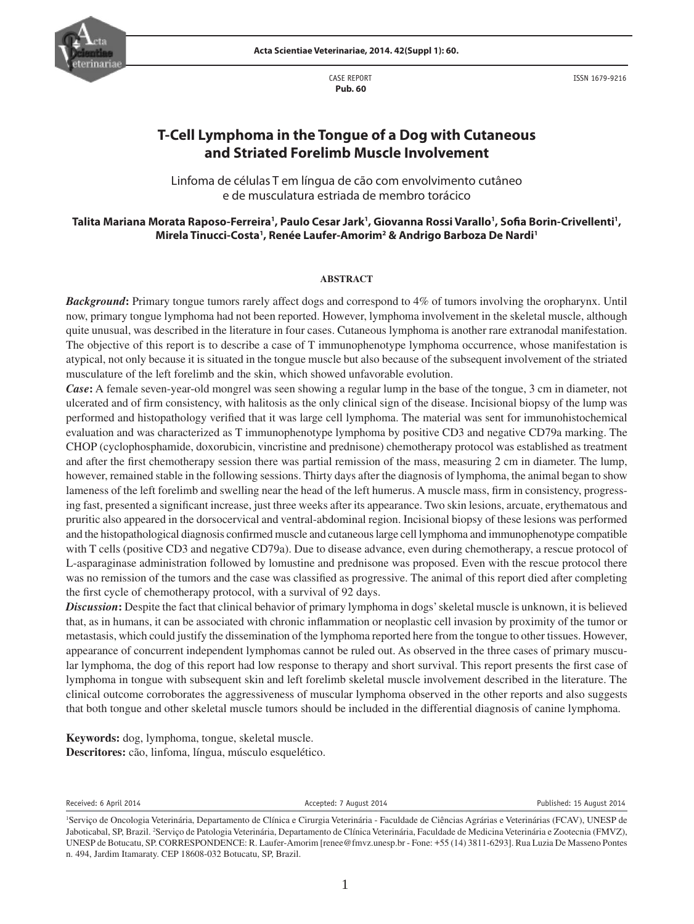

 CASE REPORT  **Pub. 60**

ISSN 1679-9216

# **T-Cell Lymphoma in the Tongue of a Dog with Cutaneous and Striated Forelimb Muscle Involvement**

Linfoma de células T em língua de cão com envolvimento cutâneo e de musculatura estriada de membro torácico

## Talita Mariana Morata Raposo-Ferreira', Paulo Cesar Jark', Giovanna Rossi Varallo', Sofia Borin-Crivellenti', Mirela Tinucci-Costa<sup>1</sup>, Renée Laufer-Amorim<sup>2</sup> & Andrigo Barboza De Nardi<sup>1</sup>

#### **ABSTRACT**

*Background***:** Primary tongue tumors rarely affect dogs and correspond to 4% of tumors involving the oropharynx. Until now, primary tongue lymphoma had not been reported. However, lymphoma involvement in the skeletal muscle, although quite unusual, was described in the literature in four cases. Cutaneous lymphoma is another rare extranodal manifestation. The objective of this report is to describe a case of T immunophenotype lymphoma occurrence, whose manifestation is atypical, not only because it is situated in the tongue muscle but also because of the subsequent involvement of the striated musculature of the left forelimb and the skin, which showed unfavorable evolution.

*Case***:** A female seven-year-old mongrel was seen showing a regular lump in the base of the tongue, 3 cm in diameter, not ulcerated and of firm consistency, with halitosis as the only clinical sign of the disease. Incisional biopsy of the lump was performed and histopathology verified that it was large cell lymphoma. The material was sent for immunohistochemical evaluation and was characterized as T immunophenotype lymphoma by positive CD3 and negative CD79a marking. The CHOP (cyclophosphamide, doxorubicin, vincristine and prednisone) chemotherapy protocol was established as treatment and after the first chemotherapy session there was partial remission of the mass, measuring  $2 \text{ cm}$  in diameter. The lump, however, remained stable in the following sessions. Thirty days after the diagnosis of lymphoma, the animal began to show lameness of the left forelimb and swelling near the head of the left humerus. A muscle mass, firm in consistency, progressing fast, presented a significant increase, just three weeks after its appearance. Two skin lesions, arcuate, erythematous and pruritic also appeared in the dorsocervical and ventral-abdominal region. Incisional biopsy of these lesions was performed and the histopathological diagnosis confirmed muscle and cutaneous large cell lymphoma and immunophenotype compatible with T cells (positive CD3 and negative CD79a). Due to disease advance, even during chemotherapy, a rescue protocol of L-asparaginase administration followed by lomustine and prednisone was proposed. Even with the rescue protocol there was no remission of the tumors and the case was classified as progressive. The animal of this report died after completing the first cycle of chemotherapy protocol, with a survival of 92 days.

*Discussion*: Despite the fact that clinical behavior of primary lymphoma in dogs' skeletal muscle is unknown, it is believed that, as in humans, it can be associated with chronic inflammation or neoplastic cell invasion by proximity of the tumor or metastasis, which could justify the dissemination of the lymphoma reported here from the tongue to other tissues. However, appearance of concurrent independent lymphomas cannot be ruled out. As observed in the three cases of primary muscular lymphoma, the dog of this report had low response to therapy and short survival. This report presents the first case of lymphoma in tongue with subsequent skin and left forelimb skeletal muscle involvement described in the literature. The clinical outcome corroborates the aggressiveness of muscular lymphoma observed in the other reports and also suggests that both tongue and other skeletal muscle tumors should be included in the differential diagnosis of canine lymphoma.

**Keywords:** dog, lymphoma, tongue, skeletal muscle. **Descritores:** cão, linfoma, língua, músculo esquelético.

Received: 6 April 2014 **Accepted: 7 August 2014** Accepted: 7 August 2014 **Published: 15 August 2014** 



<sup>1</sup> Serviço de Oncologia Veterinária, Departamento de Clínica e Cirurgia Veterinária - Faculdade de Ciências Agrárias e Veterinárias (FCAV), UNESP de Jaboticabal, SP, Brazil. 2 Serviço de Patologia Veterinária, Departamento de Clínica Veterinária, Faculdade de Medicina Veterinária e Zootecnia (FMVZ), UNESP de Botucatu, SP. CORRESPONDENCE: R. Laufer-Amorim [renee@fmvz.unesp.br - Fone: +55 (14) 3811-6293]. Rua Luzia De Masseno Pontes n. 494, Jardim Itamaraty. CEP 18608-032 Botucatu, SP, Brazil.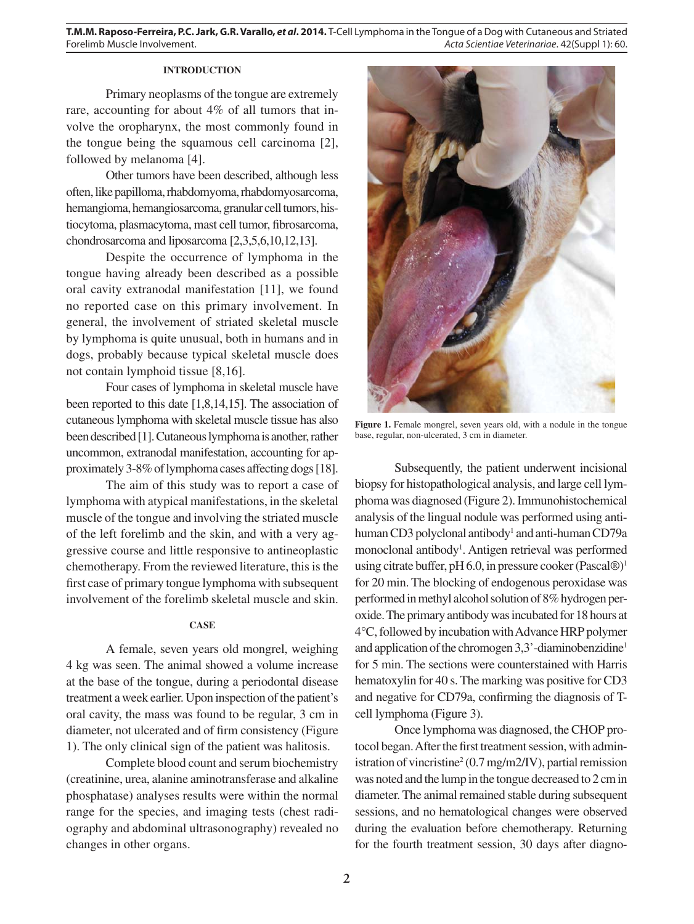# **INTRODUCTION**

Primary neoplasms of the tongue are extremely rare, accounting for about 4% of all tumors that involve the oropharynx, the most commonly found in the tongue being the squamous cell carcinoma [2], followed by melanoma [4].

Other tumors have been described, although less often, like papilloma, rhabdomyoma, rhabdomyosarcoma, hemangioma, hemangiosarcoma, granular cell tumors, histiocytoma, plasmacytoma, mast cell tumor, fibrosarcoma, chondrosarcoma and liposarcoma [2,3,5,6,10,12,13].

Despite the occurrence of lymphoma in the tongue having already been described as a possible oral cavity extranodal manifestation [11], we found no reported case on this primary involvement. In general, the involvement of striated skeletal muscle by lymphoma is quite unusual, both in humans and in dogs, probably because typical skeletal muscle does not contain lymphoid tissue [8,16].

Four cases of lymphoma in skeletal muscle have been reported to this date [1,8,14,15]. The association of cutaneous lymphoma with skeletal muscle tissue has also been described [1]. Cutaneous lymphoma is another, rather uncommon, extranodal manifestation, accounting for approximately 3-8% of lymphoma cases affecting dogs [18].

The aim of this study was to report a case of lymphoma with atypical manifestations, in the skeletal muscle of the tongue and involving the striated muscle of the left forelimb and the skin, and with a very aggressive course and little responsive to antineoplastic chemotherapy. From the reviewed literature, this is the first case of primary tongue lymphoma with subsequent involvement of the forelimb skeletal muscle and skin.

### **CASE**

A female, seven years old mongrel, weighing 4 kg was seen. The animal showed a volume increase at the base of the tongue, during a periodontal disease treatment a week earlier. Upon inspection of the patient's oral cavity, the mass was found to be regular, 3 cm in diameter, not ulcerated and of firm consistency (Figure 1). The only clinical sign of the patient was halitosis.

Complete blood count and serum biochemistry (creatinine, urea, alanine aminotransferase and alkaline phosphatase) analyses results were within the normal range for the species, and imaging tests (chest radiography and abdominal ultrasonography) revealed no changes in other organs.



Figure 1. Female mongrel, seven years old, with a nodule in the tongue base, regular, non-ulcerated, 3 cm in diameter.

Subsequently, the patient underwent incisional biopsy for histopathological analysis, and large cell lymphoma was diagnosed (Figure 2). Immunohistochemical analysis of the lingual nodule was performed using antihuman CD3 polyclonal antibody<sup>1</sup> and anti-human CD79a monoclonal antibody<sup>1</sup>. Antigen retrieval was performed using citrate buffer, pH 6.0, in pressure cooker (Pascal $\mathbb{D}$ <sup>1</sup> for 20 min. The blocking of endogenous peroxidase was performed in methyl alcohol solution of 8% hydrogen peroxide. The primary antibody was incubated for 18 hours at 4°C, followed by incubation with Advance HRP polymer and application of the chromogen 3,3'-diaminobenzidine1 for 5 min. The sections were counterstained with Harris hematoxylin for 40 s. The marking was positive for CD3 and negative for CD79a, confirming the diagnosis of Tcell lymphoma (Figure 3).

Once lymphoma was diagnosed, the CHOP protocol began. After the first treatment session, with administration of vincristine<sup>2</sup> (0.7 mg/m2/IV), partial remission was noted and the lump in the tongue decreased to 2 cm in diameter. The animal remained stable during subsequent sessions, and no hematological changes were observed during the evaluation before chemotherapy. Returning for the fourth treatment session, 30 days after diagno-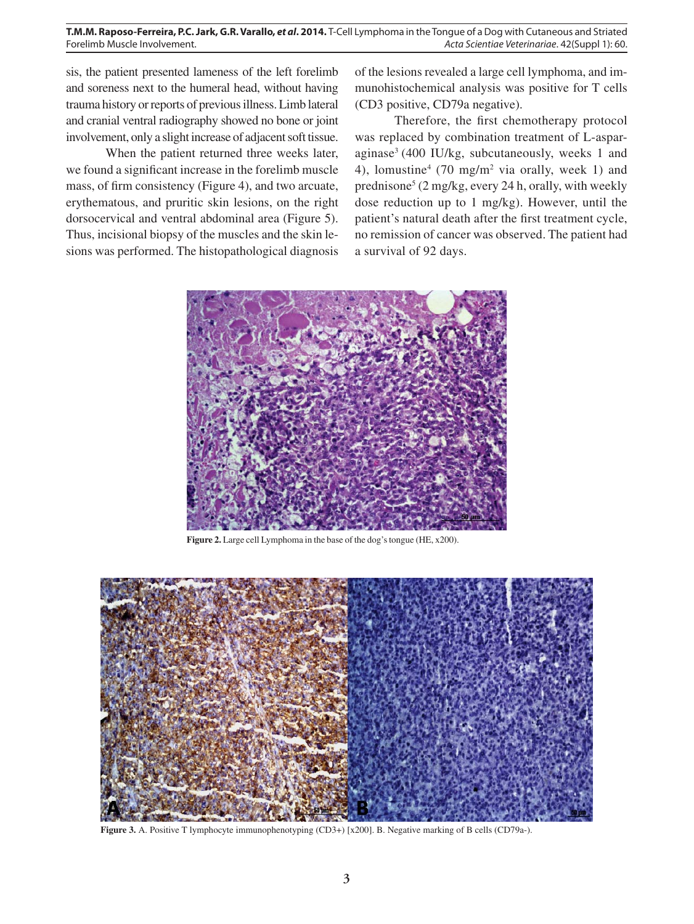sis, the patient presented lameness of the left forelimb and soreness next to the humeral head, without having trauma history or reports of previous illness. Limb lateral and cranial ventral radiography showed no bone or joint involvement, only a slight increase of adjacent soft tissue.

When the patient returned three weeks later, we found a significant increase in the forelimb muscle mass, of firm consistency (Figure 4), and two arcuate, erythematous, and pruritic skin lesions, on the right dorsocervical and ventral abdominal area (Figure 5). Thus, incisional biopsy of the muscles and the skin lesions was performed. The histopathological diagnosis

of the lesions revealed a large cell lymphoma, and immunohistochemical analysis was positive for T cells (CD3 positive, CD79a negative).

Therefore, the first chemotherapy protocol was replaced by combination treatment of L-asparaginase3 (400 IU/kg, subcutaneously, weeks 1 and 4), lomustine<sup>4</sup> (70 mg/m<sup>2</sup> via orally, week 1) and prednisone<sup>5</sup> (2 mg/kg, every 24 h, orally, with weekly dose reduction up to 1 mg/kg). However, until the patient's natural death after the first treatment cycle, no remission of cancer was observed. The patient had a survival of 92 days.



**Figure 2.** Large cell Lymphoma in the base of the dog's tongue (HE, x200).



**Figure 3.** A. Positive T lymphocyte immunophenotyping (CD3+) [x200]. B. Negative marking of B cells (CD79a-).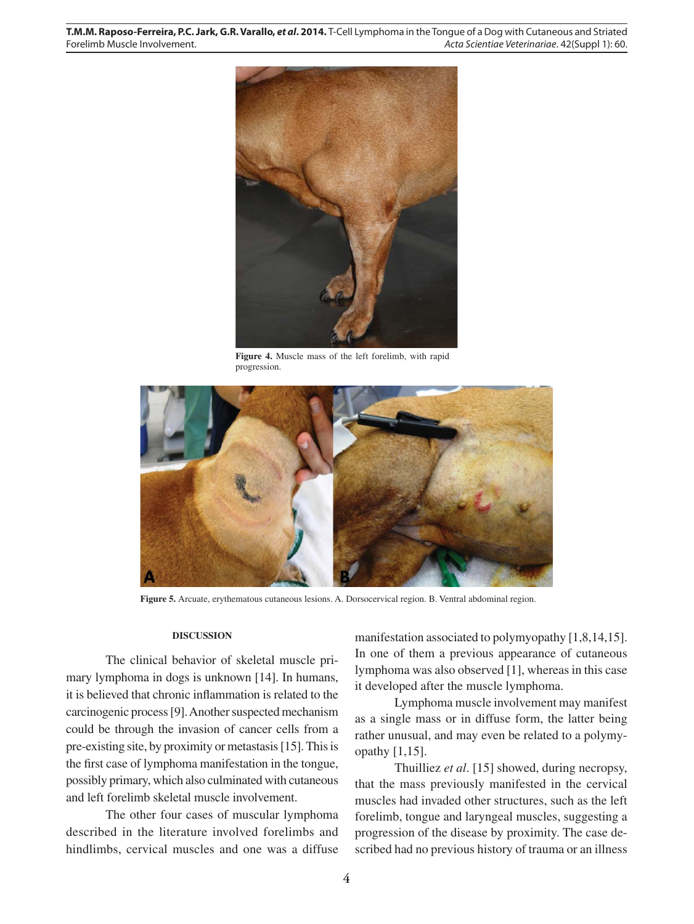

**Figure 4.** Muscle mass of the left forelimb, with rapid progression.



**Figure 5.** Arcuate, erythematous cutaneous lesions. A. Dorsocervical region. B. Ventral abdominal region.

## **DISCUSSION**

The clinical behavior of skeletal muscle primary lymphoma in dogs is unknown [14]. In humans, it is believed that chronic inflammation is related to the carcinogenic process [9]. Another suspected mechanism could be through the invasion of cancer cells from a pre-existing site, by proximity or metastasis [15]. This is the first case of lymphoma manifestation in the tongue, possibly primary, which also culminated with cutaneous and left forelimb skeletal muscle involvement.

The other four cases of muscular lymphoma described in the literature involved forelimbs and hindlimbs, cervical muscles and one was a diffuse manifestation associated to polymyopathy [1,8,14,15]. In one of them a previous appearance of cutaneous lymphoma was also observed [1], whereas in this case it developed after the muscle lymphoma.

Lymphoma muscle involvement may manifest as a single mass or in diffuse form, the latter being rather unusual, and may even be related to a polymyopathy [1,15].

Thuilliez *et al*. [15] showed, during necropsy, that the mass previously manifested in the cervical muscles had invaded other structures, such as the left forelimb, tongue and laryngeal muscles, suggesting a progression of the disease by proximity. The case described had no previous history of trauma or an illness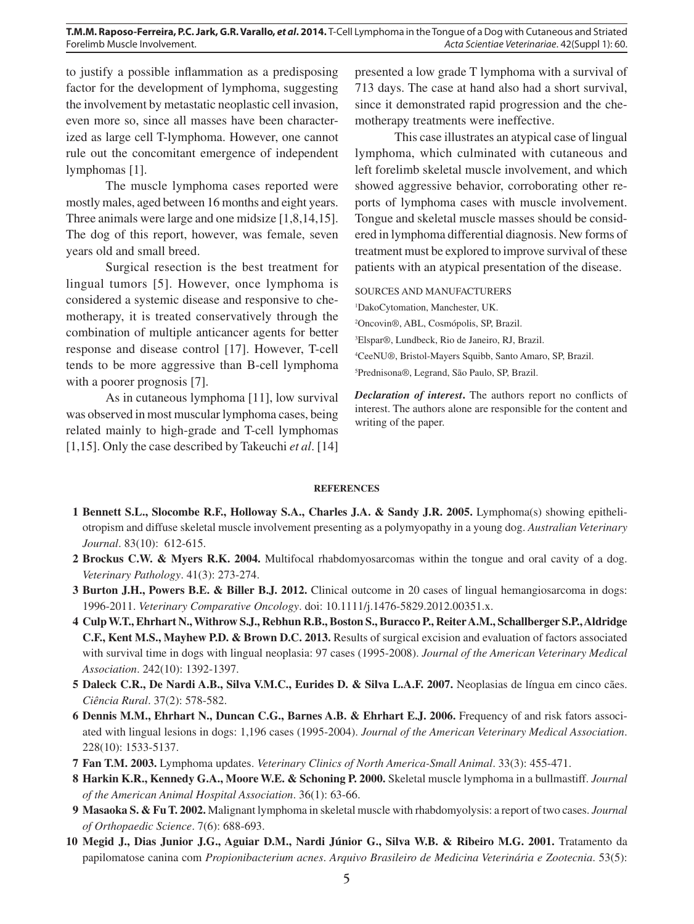to justify a possible inflammation as a predisposing factor for the development of lymphoma, suggesting the involvement by metastatic neoplastic cell invasion, even more so, since all masses have been characterized as large cell T-lymphoma. However, one cannot rule out the concomitant emergence of independent lymphomas [1].

The muscle lymphoma cases reported were mostly males, aged between 16 months and eight years. Three animals were large and one midsize [1,8,14,15]. The dog of this report, however, was female, seven years old and small breed.

Surgical resection is the best treatment for lingual tumors [5]. However, once lymphoma is considered a systemic disease and responsive to chemotherapy, it is treated conservatively through the combination of multiple anticancer agents for better response and disease control [17]. However, T-cell tends to be more aggressive than B-cell lymphoma with a poorer prognosis [7].

As in cutaneous lymphoma [11], low survival was observed in most muscular lymphoma cases, being related mainly to high-grade and T-cell lymphomas [1,15]. Only the case described by Takeuchi *et al*. [14]

presented a low grade T lymphoma with a survival of 713 days. The case at hand also had a short survival, since it demonstrated rapid progression and the chemotherapy treatments were ineffective.

This case illustrates an atypical case of lingual lymphoma, which culminated with cutaneous and left forelimb skeletal muscle involvement, and which showed aggressive behavior, corroborating other reports of lymphoma cases with muscle involvement. Tongue and skeletal muscle masses should be considered in lymphoma differential diagnosis. New forms of treatment must be explored to improve survival of these patients with an atypical presentation of the disease.

#### SOURCES AND MANUFACTURERS

1 DakoCytomation, Manchester, UK.

2 Oncovin®, ABL, Cosmópolis, SP, Brazil.

3 Elspar®, Lundbeck, Rio de Janeiro, RJ, Brazil.

4 CeeNU®, Bristol-Mayers Squibb, Santo Amaro, SP, Brazil.

5 Prednisona®, Legrand, São Paulo, SP, Brazil.

*Declaration of interest***.** The authors report no conflicts of interest. The authors alone are responsible for the content and writing of the paper.

#### **REFERENCES**

- **1 Bennett S.L., Slocombe R.F., Holloway S.A., Charles J.A. & Sandy J.R. 2005.** Lymphoma(s) showing epitheliotropism and diffuse skeletal muscle involvement presenting as a polymyopathy in a young dog. *Australian Veterinary Journal*. 83(10): 612-615.
- **2 Brockus C.W. & Myers R.K. 2004.** Multifocal rhabdomyosarcomas within the tongue and oral cavity of a dog. *Veterinary Pathology*. 41(3): 273-274.
- **3 Burton J.H., Powers B.E. & Biller B.J. 2012.** Clinical outcome in 20 cases of lingual hemangiosarcoma in dogs: 1996-2011. *Veterinary Comparative Oncology*. doi: 10.1111/j.1476-5829.2012.00351.x.
- **4 Culp W.T., Ehrhart N., Withrow S.J., Rebhun R.B., Boston S., Buracco P., Reiter A.M., Schallberger S.P., Aldridge C.F., Kent M.S., Mayhew P.D. & Brown D.C. 2013.** Results of surgical excision and evaluation of factors associated with survival time in dogs with lingual neoplasia: 97 cases (1995-2008). *Journal of the American Veterinary Medical Association*. 242(10): 1392-1397.
- **5 Daleck C.R., De Nardi A.B., Silva V.M.C., Eurides D. & Silva L.A.F. 2007.** Neoplasias de língua em cinco cães. *Ciência Rural*. 37(2): 578-582.
- **6 Dennis M.M., Ehrhart N., Duncan C.G., Barnes A.B. & Ehrhart E.J. 2006.** Frequency of and risk fators associated with lingual lesions in dogs: 1,196 cases (1995-2004). *Journal of the American Veterinary Medical Association*. 228(10): 1533-5137.
- **7 Fan T.M. 2003.** Lymphoma updates. *Veterinary Clinics of North America-Small Animal*. 33(3): 455-471.
- **8 Harkin K.R., Kennedy G.A., Moore W.E. & Schoning P. 2000.** Skeletal muscle lymphoma in a bullmastiff. *Journal of the American Animal Hospital Association*. 36(1): 63-66.
- **9 Masaoka S. & Fu T. 2002.** Malignant lymphoma in skeletal muscle with rhabdomyolysis: a report of two cases. *Journal of Orthopaedic Science*. 7(6): 688-693.
- **10 Megid J., Dias Junior J.G., Aguiar D.M., Nardi Júnior G., Silva W.B. & Ribeiro M.G. 2001.** Tratamento da papilomatose canina com *Propionibacterium acnes*. *Arquivo Brasileiro de Medicina Veterinária e Zootecnia*. 53(5):